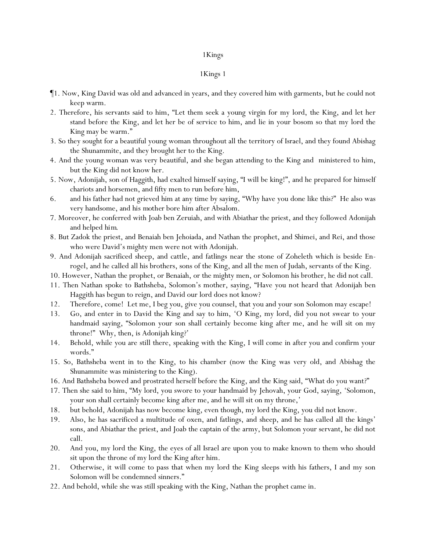- ¶1. Now, King David was old and advanced in years, and they covered him with garments, but he could not keep warm.
- 2. Therefore, his servants said to him, "Let them seek a young virgin for my lord, the King, and let her stand before the King, and let her be of service to him, and lie in your bosom so that my lord the King may be warm."
- 3. So they sought for a beautiful young woman throughout all the territory of Israel, and they found Abishag the Shunammite, and they brought her to the King.
- 4. And the young woman was very beautiful, and she began attending to the King and ministered to him, but the King did not know her.
- 5. Now, Adonijah, son of Haggith, had exalted himself saying, "I will be king!", and he prepared for himself chariots and horsemen, and fifty men to run before him,
- 6. and his father had not grieved him at any time by saying, "Why have you done like this?" He also was very handsome, and *his mother* bore him after Absalom.
- 7. Moreover, he conferred with Joab ben Zeruiah, and with Abiathar the priest, and they followed Adonijah and helped *him*.
- 8. But Zadok the priest, and Benaiah ben Jehoiada, and Nathan the prophet, and Shimei, and Rei, and those who were David's mighty men were not with Adonijah.
- 9. And Adonijah sacrificed sheep, and cattle, and fatlings near the stone of Zoheleth which is beside Enrogel, and he called all his brothers, sons of the King, and all the men of Judah, servants of the King.
- 10. However, Nathan the prophet, or Benaiah, or the mighty men, or Solomon his brother, he did not call.
- 11. Then Nathan spoke to Bathsheba, Solomon's mother, saying, "Have you not heard that Adonijah ben Haggith has begun to reign, and David our lord does not know?
- 12. Therefore, come! Let me, I beg you, give you counsel, that you and your son Solomon may escape!
- 13. Go, and enter in to David the King and say to him, 'O King, my lord, did you not swear to your handmaid saying, "Solomon your son shall certainly become king after me, and he will sit on my throne!" Why, then, is Adonijah king?'
- 14. Behold, while you are still there, speaking with the King, I will come in after you and confirm your words."
- 15. So, Bathsheba went in to the King, to his chamber (now the King was very old, and Abishag the Shunammite was ministering to the King).
- 16. And Bathsheba bowed and prostrated herself before the King, and the King said, "What do you want?"
- 17. Then she said to him, "My lord, you swore to your handmaid by Jehovah, your God, saying, 'Solomon, your son shall certainly become king after me, and he will sit on my throne,'
- 18. but behold, Adonijah has now become king, even though, my lord the King, you did not know.
- 19. Also, he has sacrificed a multitude of oxen, and fatlings, and sheep, and he has called all the kings' sons, and Abiathar the priest, and Joab the captain of the army, but Solomon your servant, he did not call.
- 20. And you, my lord the King, the eyes of all Israel are upon you to make known to them who should sit upon the throne of my lord the King after him.
- 21. Otherwise, it will come to pass that when my lord the King sleeps with his fathers, I and my son Solomon will be condemned sinners."
- 22. And behold, while she was still speaking with the King, Nathan the prophet came in.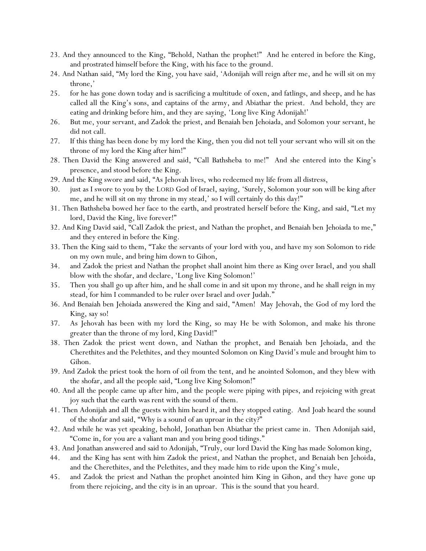- 23. And they announced to the King, "Behold, Nathan the prophet!" And he entered in before the King, and prostrated himself before the King, with his face to the ground.
- 24. And Nathan said, "My lord the King, you have said, 'Adonijah will reign after me, and he will sit on my throne,'
- 25. for he has gone down today and is sacrificing a multitude of oxen, and fatlings, and sheep, and he has called all the King's sons, and captains of the army, and Abiathar the priest. And behold, they are eating and drinking before him, and they are saying, '*Long* live King Adonijah!'
- 26. But me, your servant, and Zadok the priest, and Benaiah ben Jehoiada, and Solomon your servant, he did not call.
- 27. If this thing has been done by my lord the King, then you did not tell your servant who will sit on the throne of my lord the King after him!"
- 28. Then David the King answered and said, "Call Bathsheba to me!" And she entered into the King's presence, and stood before the King.
- 29. And the King swore and said, "As Jehovah lives, who redeemed my life from all distress,
- 30. just as I swore to you by the LORD God of Israel, saying, 'Surely, Solomon your son will be king after me, and he will sit on my throne in my stead,' so I will certainly do this day!"
- 31. Then Bathsheba bowed her face to the earth, and prostrated herself before the King, and said, "Let my lord, David the King, live forever!"
- 32. And King David said, "Call Zadok the priest, and Nathan the prophet, and Benaiah ben Jehoiada to me," and they entered in before the King.
- 33. Then the King said to them, "Take the servants of *y*our lord with *y*ou, and have my son Solomon to ride on my own mule, and bring him down to Gihon,
- 34. and Zadok the priest and Nathan the prophet shall anoint him there as King over Israel, and *y*ou shall blow with the shofar, and declare, 'Long live King Solomon!'
- 35. Then *y*ou shall go up after him, and he shall come in and sit upon my throne, and he shall reign in my stead, for him I commanded to be ruler over Israel and over Judah."
- 36. And Benaiah ben Jehoiada answered the King and said, "Amen! May Jehovah, the God of my lord the King, say so!
- 37. As Jehovah has been with my lord the King, so may He be with Solomon, and make his throne greater than the throne of my lord, King David!"
- 38. Then Zadok the priest went down, and Nathan the prophet, and Benaiah ben Jehoiada, and the Cherethites and the Pelethites, and they mounted Solomon on King David's mule and brought him to Gihon.
- 39. And Zadok the priest took the horn of oil from the tent, and he anointed Solomon, and they blew with the shofar, and all the people said, "Long live King Solomon!"
- 40. And all the people came up after him, and the people were piping with pipes, and rejoicing with great joy such that the earth was rent with the sound of them.
- 41. Then Adonijah and all the guests with him heard it, and they stopped eating. And Joab heard the sound of the shofar and said, "Why is a sound of an uproar in the city?"
- 42. And while he was yet speaking, behold, Jonathan ben Abiathar the priest came in. Then Adonijah said, "Come in, for you are a valiant man and you bring good tidings."
- 43. And Jonathan answered and said to Adonijah, "Truly, our lord David the King has made Solomon king,
- 44. and the King has sent with him Zadok the priest, and Nathan the prophet, and Benaiah ben Jehoida, and the Cherethites, and the Pelethites, and they made him to ride upon the King's mule,
- 45. and Zadok the priest and Nathan the prophet anointed him King in Gihon, and they have gone up from there rejoicing, and the city is in an uproar. This is the sound that *y*ou heard.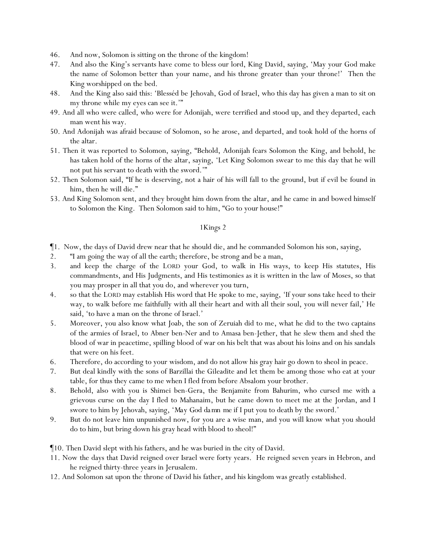- 46. And now, Solomon is sitting on the throne of the kingdom!
- 47. And also the King's servants have come to bless our lord, King David, saying, 'May your God make the name of Solomon better than your name, and his throne greater than your throne!' Then the King worshipped on the bed.
- 48. And the King also said this: 'Blesséd be Jehovah, God of Israel, who this day has given a man to sit on my throne while my eyes can see it.'"
- 49. And all who were called, who were for Adonijah, were terrified and stood up, and they departed, each man went his way.
- 50. And Adonijah was afraid because of Solomon, so he arose, and departed, and took hold of the horns of the altar.
- 51. Then it was reported to Solomon, saying, "Behold, Adonijah fears Solomon the King, and behold, he has taken hold of the horns of the altar, saying, 'Let King Solomon swear to me this day that he will not put his servant to death with the sword.'"
- 52. Then Solomon said, "If he is deserving, not a hair of his will fall to the ground, but if evil be found in him, then he will die."
- 53. And King Solomon sent, and they brought him down from the altar, and he came in and bowed himself to Solomon the King. Then Solomon said to him, "Go to your house!"

- ¶1. Now, the days of David drew near that he should die, and he commanded Solomon his son, saying,
- 2. "I am going the way of all the earth; therefore, be strong and be a man,
- 3. and keep the charge of the LORD your God, to walk in His ways, to keep His statutes, His commandments, and His Judgments, and His testimonies as it is written in the law of Moses, so that you may prosper in all that you do, and wherever you turn,
- 4. so that the LORD may establish His word that He spoke to me, saying, 'If your sons take heed to their way, to walk before me faithfully with all their heart and with all their soul, you will never fail,' He said, 'to have a man on the throne of Israel.'
- 5. Moreover, you also know what Joab, the son of Zeruiah did to me, what he did to the two captains of the armies of Israel, to Abner ben-Ner and to Amasa ben-Jether, that he slew them and shed the blood of war in peacetime, spilling blood of war on his belt that was about his loins and on his sandals that were on his feet.
- 6. Therefore, do according to your wisdom, and do not allow his gray hair go down to sheol in peace.
- 7. But deal kindly with the sons of Barzillai the Gileadite and let them be among those who eat at your table, for thus they came to me when I fled from before Absalom your brother.
- 8. Behold, also with you is Shimei ben-Gera, the Benjamite from Bahurim, who cursed me with a grievous curse on the day I fled to Mahanaim, but he came down to meet me at the Jordan, and I swore to him by Jehovah, saying, '*May God da mn me* if I put you to death by the sword.'
- 9. But do not leave him unpunished now, for you are a wise man, and you will know what you should do to him, but bring down his gray head with blood to sheol!"
- ¶10. Then David slept with his fathers, and he was buried in the city of David.
- 11. Now the days that David reigned over Israel were forty years. He reigned seven years in Hebron, and he reigned thirty-three years in Jerusalem.
- 12. And Solomon sat upon the throne of David his father, and his kingdom was greatly established.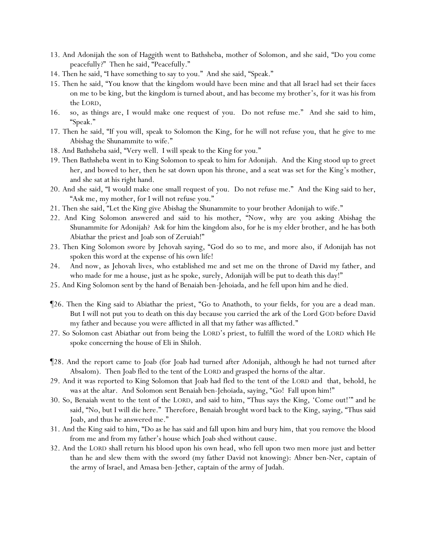- 13. And Adonijah the son of Haggith went to Bathsheba, mother of Solomon, and she said, "Do you come peacefully?" Then he said, "Peacefully."
- 14. Then he said, "I have something to say to you." And she said, "Speak."
- 15. Then he said, "You know that the kingdom would have been mine and that all Israel had set their faces on me to be king, but the kingdom is turned about, and has become my brother's, for it was his from the LORD,
- 16. so, as things are, I would make one request of you. Do not refuse me." And she said to him, "Speak."
- 17. Then he said, "If you will, speak to Solomon the King, for he will not refuse you, that he give to me Abishag the Shunammite to wife."
- 18. And Bathsheba said, "Very well. I will speak to the King for you."
- 19. Then Bathsheba went in to King Solomon to speak to him for Adonijah. And the King stood up to greet her, and bowed to her, then he sat down upon his throne, and a seat was set for the King's mother, and she sat at his right hand.
- 20. And she said, "I would make one small request of you. Do not refuse me." And the King said to her, "Ask me, my mother, for I will not refuse you."
- 21. Then she said, "Let *the King* give Abishag the Shunammite to your brother Adonijah to wife."
- 22. And King Solomon answered and said to his mother, "Now, why are you asking Abishag the Shunammite for Adonijah? Ask for him the kingdom also, for he is my elder brother, and he has both Abiathar the priest and Joab son of Zeruiah!"
- 23. Then King Solomon swore by Jehovah saying, "God do so to me, and more also, if Adonijah has not spoken this word at the expense of his own life!
- 24. And now, as Jehovah lives, who established me and set me on the throne of David my father, and who made for me a house, just as he spoke, surely, Adonijah will be put to death this day!"
- 25. And King Solomon sent by the hand of Benaiah ben-Jehoiada, and he fell upon him and he died.
- ¶26. Then the King said to Abiathar the priest, "Go to Anathoth, to your fields, for you are a dead man. But I will not put you to death on this day because you carried the ark of the Lord GOD before David my father and because you were afflicted in all that my father was afflicted."
- 27. So Solomon cast Abiathar out from being the LORD's priest, to fulfill the word of the LORD which He spoke concerning the house of Eli in Shiloh.
- ¶28. And the report came to Joab (for Joab had turned after Adonijah, although he had not turned after Absalom). Then Joab fled to the tent of the LORD and grasped the horns of the altar.
- 29. And it was reported to King Solomon that Joab had fled to the tent of the LORD and that, behold, *he was* at the altar. And Solomon sent Benaiah ben-Jehoiada, saying, "Go! Fall upon him!"
- 30. So, Benaiah went to the tent of the LORD, and said to him, "Thus says the King, 'Come out!'" and he said, "No, but I will die here." Therefore, Benaiah brought word back to the King, saying, "Thus said Joab, and thus he answered me."
- 31. And the King said to him, "Do as he has said and fall upon him and bury him, that you remove the blood from me and from my father's house which Joab shed without cause.
- 32. And the LORD shall return his blood upon his own head, who fell upon two men more just and better than he and slew them with the sword (my father David not knowing): Abner ben-Ner, captain of the army of Israel, and Amasa ben-Jether, captain of the army of Judah.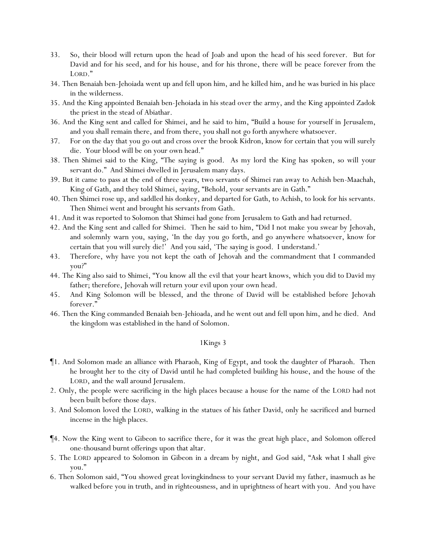- 33. So, their blood will return upon the head of Joab and upon the head of his seed forever. But for David and for his seed, and for his house, and for his throne, there will be peace forever from the LORD."
- 34. Then Benaiah ben-Jehoiada went up and fell upon him, and he killed him, and he was buried in his place in the wilderness.
- 35. And the King appointed Benaiah ben-Jehoiada in his stead over the army, and the King appointed Zadok the priest in the stead of Abiathar.
- 36. And the King sent and called for Shimei, and he said to him, "Build a house for yourself in Jerusalem, and you shall remain there, and from there, you shall not go forth anywhere whatsoever.
- 37. For on the day that you go out and cross over the brook Kidron, know for certain that you will surely die. Your blood will be on your own head."
- 38. Then Shimei said to the King, "The saying is good. As my lord the King has spoken, so will your servant do." And Shimei dwelled in Jerusalem many days.
- 39. But it came to pass at the end of three years, two servants of Shimei ran away to Achish ben-Maachah, King of Gath, and they told Shimei, saying, "Behold, your servants are in Gath."
- 40. Then Shimei rose up, and saddled his donkey, and departed for Gath, to Achish, to look for his servants. Then Shimei went and brought his servants from Gath.
- 41. And it was reported to Solomon that Shimei had gone from Jerusalem to Gath and had returned.
- 42. And the King sent and called for Shimei. Then he said to him, "Did I not make you swear by Jehovah, and solemnly warn you, saying, 'In the day you go forth, and go anywhere whatsoever, know for certain that you will surely die!' And you said, 'The saying is good. I understand.'
- 43. Therefore, why have you not kept the oath of Jehovah and the commandment that I commanded you?"
- 44. The King also said to Shimei, "You know all the evil that your heart knows, which you did to David my father; therefore, Jehovah will return your evil upon your own head.
- 45. And King Solomon will be blessed, and the throne of David will be established before Jehovah forever."
- 46. Then the King commanded Benaiah ben-Jehioada, and he went out and fell upon him, and he died. And the kingdom was established in the hand of Solomon.

- ¶1. And Solomon made an alliance with Pharaoh, King of Egypt, and took the daughter of Pharaoh. Then he brought her to the city of David until he had completed building his house, and the house of the LORD, and the wall around Jerusalem.
- 2. Only, the people were sacrificing in the high places because a house for the name of the LORD had not been built before those days.
- 3. And Solomon loved the LORD, walking in the statues of his father David, only he sacrificed and burned incense in the high places.
- ¶4. Now the King went to Gibeon to sacrifice there, for it was the great high place, and Solomon offered one-thousand burnt offerings upon that altar.
- 5. The LORD appeared to Solomon in Gibeon in a dream by night, and God said, "Ask what I shall give you."
- 6. Then Solomon said, "You showed great lovingkindness to your servant David my father, inasmuch as he walked before you in truth, and in righteousness, and in uprightness of heart with you. And you have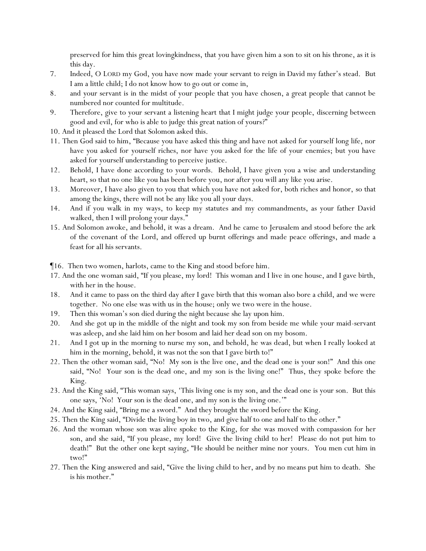preserved for him this great lovingkindness, that you have given him a son to sit on his throne, as it is this day.

- 7. Indeed, O LORD my God, you have now made your servant to reign in David my father's stead. But I am a little child; I do not know how to go out or come in,
- 8. and your servant is in the midst of your people that you have chosen, a great people that cannot be numbered nor counted for multitude.
- 9. Therefore, give to your servant a listening heart that I might judge your people, discerning between good and evil, for who is able to judge this great nation of yours?"
- 10. And it pleased the Lord that Solomon asked this.
- 11. Then God said to him, "Because you have asked this thing and have not asked for yourself long life, nor have you asked for yourself riches, nor have you asked for the life of your enemies; but you have asked for yourself understanding to perceive justice.
- 12. Behold, I have done according to your words. Behold, I have given you a wise and understanding heart, so that no one like you has been before you, nor after you will any like you arise.
- 13. Moreover, I have also given to you that which you have not asked for, both riches and honor, so that among the kings, there will not be any like you all your days.
- 14. And if you walk in my ways, to keep my statutes and my commandments, as your father David walked, then I will prolong your days."
- 15. And Solomon awoke, and behold, it was a dream. And he came to Jerusalem and stood before the ark of the covenant of the Lord, and offered up burnt offerings and made peace offerings, and made a feast for all his servants.

¶16. Then two women, harlots, came to the King and stood before him.

- 17. And the one woman said, "If you please, my lord! This woman and I live in one house, and I gave birth, with her in the house.
- 18. And it came to pass on the third day after I gave birth that this woman also bore a child, and we were together. No one else was with us in the house; only we two were in the house.
- 19. Then this woman's son died during the night because she lay upon him.
- 20. And she got up in the middle of the night and took my son from beside me while your maid-servant was asleep, and she laid him on her bosom and laid her dead son on my bosom.
- 21. And I got up in the morning to nurse my son, and behold, he was dead, but when I really looked at him in the morning, behold, it was not the son that I gave birth to!"
- 22. Then the other woman said, "No! My son is the live one, and the dead one is your son!" And this one said, "No! Your son is the dead one, and my son is the living one!" Thus, they spoke before the King.
- 23. And the King said, "This woman says, 'This living one is my son, and the dead one is your son. But this one says, 'No! Your son is the dead one, and my son is the living one.'"
- 24. And the King said, "Bring me a sword." And they brought the sword before the King.
- 25. Then the King said, "Divide the living boy in two, and give half to one and half to the other."
- 26. And the woman whose son was alive spoke to the King, for she was moved with compassion for her son, and she said, "If you please, my lord! Give the living child to her! Please do not put him to death!" But the other one kept saying, "He should be neither mine nor yours. *Y*ou men cut him in two!"
- 27. Then the King answered and said, "Give the living child to her, and by no means put him to death. She is his mother."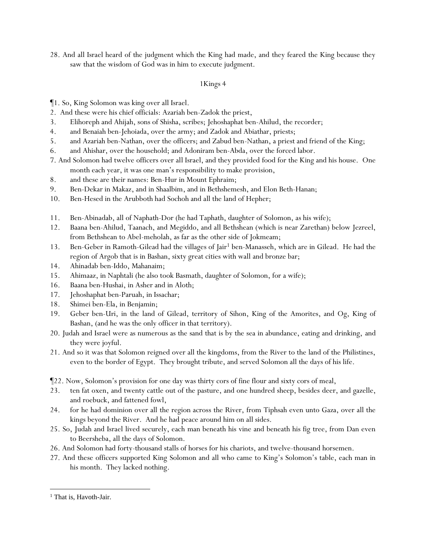28. And all Israel heard of the judgment which the King had made, and they feared the King because they saw that the wisdom of God was in him to execute judgment.

# 1Kings 4

¶1. So, King Solomon was king over all Israel.

- 2. And these were his chief officials: Azariah ben-Zadok the priest,
- 3. Elihoreph and Ahijah, sons of Shisha, scribes; Jehoshaphat ben-Ahilud, the recorder;
- 4. and Benaiah ben-Jehoiada, over the army; and Zadok and Abiathar, priests;
- 5. and Azariah ben-Nathan, over the officers; and Zabud ben-Nathan, a priest and friend of the King;
- 6. and Ahishar, over the household; and Adoniram ben-Abda, over the forced labor.
- 7. And Solomon had twelve officers over all Israel, and they provided food for the King and his house. One month each year, it was one man's responsibility to make provision,
- 8. and these are their names: Ben-Hur in Mount Ephraim;
- 9. Ben-Dekar in Makaz, and in Shaalbim, and in Bethshemesh, and Elon Beth-Hanan;
- 10. Ben-Hesed in the Arubboth had Sochoh and all the land of Hepher;
- 11. Ben-Abinadab, all of Naphath-Dor (he had Taphath, daughter of Solomon, as his wife);
- 12. Baana ben-Ahilud, Taanach, and Megiddo, and all Bethshean (which is near Zarethan) below Jezreel, from Bethshean to Abel-meholah, as far as the other side of Jokmeam;
- 13. Ben-Geber in Ramoth-Gilead had the villages of Jair<sup>1</sup> ben-Manasseh, which are in Gilead. He had the region of Argob that is in Bashan, sixty great cities with wall and bronze bar;
- 14. Ahinadab ben-Iddo, Mahanaim;
- 15. Ahimaaz, in Naphtali (he also took Basmath, daughter of Solomon, for a wife);
- 16. Baana ben-Hushai, in Asher and in Aloth;
- 17. Jehoshaphat ben-Paruah, in Issachar;
- 18. Shimei ben-Ela, in Benjamin;
- 19. Geber ben-Uri, in the land of Gilead, territory of Sihon, King of the Amorites, and Og, King of Bashan, (and he was the only officer in that territory).
- 20. Judah and Israel were as numerous as the sand that is by the sea in abundance, eating and drinking, and they were joyful.
- 21. And so it was that Solomon reigned over all the kingdoms, from the River to the land of the Philistines, even to the border of Egypt. They brought tribute, and served Solomon all the days of his life.
- ¶22. Now, Solomon's provision for one day was thirty cors of fine flour and sixty cors of meal,
- 23. ten fat oxen, and twenty cattle out of the pasture, and one hundred sheep, besides deer, and gazelle, and roebuck, and fattened fowl,
- 24. for he had dominion over all the region across the River, from Tiphsah even unto Gaza, over all the kings beyond the River. And he had peace around him on all sides.
- 25. So, Judah and Israel lived securely, each man beneath his vine and beneath his fig tree, from Dan even to Beersheba, all the days of Solomon.
- 26. And Solomon had forty-thousand stalls of horses for his chariots, and twelve-thousand horsemen.
- 27. And these officers supported King Solomon and all who came to King's Solomon's table, each man in his month. They lacked nothing.

<sup>&</sup>lt;sup>1</sup> That is, Havoth-Jair.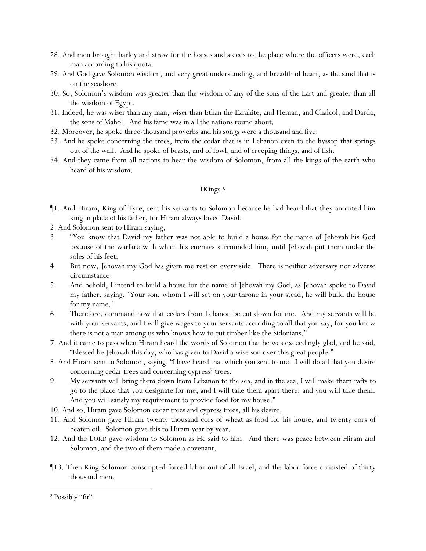- 28. And men brought barley and straw for the horses and steeds to the place where the *officers* were, each man according to his quota.
- 29. And God gave Solomon wisdom, and very great understanding, and breadth of heart, as the sand that is on the seashore.
- 30. So, Solomon's wisdom was greater than the wisdom of any of the sons of the East and greater than all the wisdom of Egypt.
- 31. Indeed, he was wiser than any man, *wiser* than Ethan the Ezrahite, and Heman, and Chalcol, and Darda, the sons of Mahol. And his fame was in all the nations round about.
- 32. Moreover, he spoke three-thousand proverbs and his songs were a thousand and five.
- 33. And he spoke concerning the trees, from the cedar that is in Lebanon even to the hyssop that springs out of the wall. And he spoke of beasts, and of fowl, and of creeping things, and of fish.
- 34. And they came from all nations to hear the wisdom of Solomon, from all the kings of the earth who heard of his wisdom.

- ¶1. And Hiram, King of Tyre, sent his servants to Solomon because he had heard that they anointed him king in place of his father, for Hiram always loved David.
- 2. And Solomon sent to Hiram saying,
- 3. "You know that David my father was not able to build a house for the name of Jehovah his God because of the warfare with which *his enemies* surrounded him, until Jehovah put them under the soles of his feet.
- 4. But now, Jehovah my God has given me rest on every side. There is neither adversary nor adverse circumstance.
- 5. And behold, I intend to build a house for the name of Jehovah my God, as Jehovah spoke to David my father, saying, 'Your son, whom I will set on your throne in your stead, he will build the house for my name.'
- 6. Therefore, command now that cedars from Lebanon be cut down for me. And my servants will be with your servants, and I will give wages to your servants according to all that you say, for you know there is not a man among us who knows how to cut timber like the Sidonians."
- 7. And it came to pass when Hiram heard the words of Solomon that he was exceedingly glad, and he said, "Blessed be Jehovah this day, who has given to David a wise son over this great people!"
- 8. And Hiram sent to Solomon, saying, "I have heard that which you sent to me. I will do all that you desire concerning cedar trees and concerning cypress<sup>2</sup> trees.
- 9. My servants will bring them down from Lebanon to the sea, and in the sea, I will make them rafts *to go* to the place that you designate for me, and I will take them apart there, and you will take them. And you will satisfy my requirement to provide food for my house."
- 10. And so, Hiram gave Solomon cedar trees and cypress trees, all his desire.
- 11. And Solomon gave Hiram twenty thousand cors of wheat as food for his house, and twenty cors of beaten oil. Solomon gave this to Hiram year by year.
- 12. And the LORD gave wisdom to Solomon as He said to him. And there was peace between Hiram and Solomon, and the two of them made a covenant.
- ¶13. Then King Solomon conscripted forced labor out of all Israel, and the labor force consisted of thirty thousand men.

<sup>2</sup> Possibly "fir".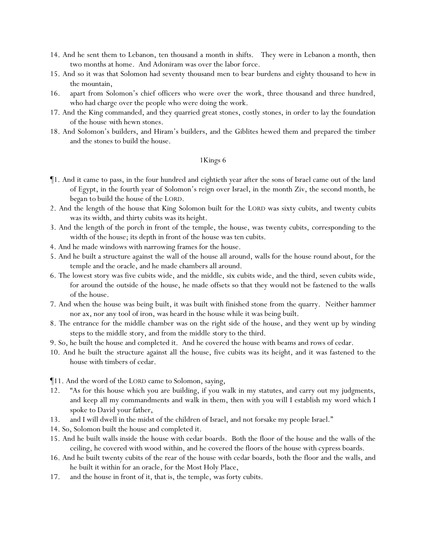- 14. And he sent them to Lebanon, ten thousand a month in shifts. They were in Lebanon a month, then two months at home. And Adoniram was over the labor force.
- 15. And so it was that Solomon had seventy thousand men to bear burdens and eighty thousand to hew in the mountain,
- 16. apart from Solomon's chief officers who were over the work, three thousand and three hundred, who had charge over the people who were doing the work.
- 17. And the King commanded, and they quarried great stones, costly stones, in order to lay the foundation of the house *with* hewn stones.
- 18. And Solomon's builders, and Hiram's builders, and the Giblites hewed them and prepared the timber and the stones to build the house.

- ¶1. And it came to pass, in the four hundred and eightieth year after the sons of Israel came out of the land of Egypt, in the fourth year of Solomon's reign over Israel, in the month Ziv, the second month, he *began to* build the house of the LORD.
- 2. And the length of the house that King Solomon built for the LORD was sixty cubits, and twenty cubits was its width, and thirty cubits was its height.
- 3. And the length of the porch in front of the temple, the house, was twenty cubits, corresponding to the width of the house; its depth in front of the house was ten cubits.
- 4. And he made windows with narrowing frames for the house.
- 5. And he built a structure against the wall of the house all around, walls for the house round about, for the temple and the oracle, and he made chambers all around.
- 6. The lowest story was five cubits wide, and the middle, six cubits wide, and the third, seven cubits wide, for around the outside of the house, he made offsets so that they would not be fastened to the walls of the house.
- 7. And when the house was being built, it was built with finished stone from the quarry. Neither hammer nor ax, nor any tool of iron, was heard in the house while it was being built.
- 8. The entrance for the middle chamber was on the right side of the house, and they went up by winding steps to the middle *story*, and from the middle *story* to the third.
- 9. So, he built the house and completed it. And he covered the house with beams and rows of cedar.
- 10. And he built the structure against all the house, five cubits was its height, and it was fastened to the house with timbers of cedar.
- ¶11. And the word of the LORD came to Solomon, saying,
- 12. "As for this house which you are building, if you walk in my statutes, and carry out my judgments, and keep all my commandments and walk in them, then with you will I establish my word which I spoke to David your father,
- 13. and I will dwell in the midst of the children of Israel, and not forsake my people Israel."
- 14. So, Solomon built the house and completed it.
- 15. And he built walls inside the house with cedar boards. Both the floor of the house and the walls of the ceiling, he covered with wood within, and he covered the floors of the house with cypress boards.
- 16. And he built twenty cubits of the rear of the house with cedar boards, both the floor and the walls, and he built it within for an oracle, for the Most Holy Place,
- 17. and the house in front of it, that is, the temple, was forty cubits.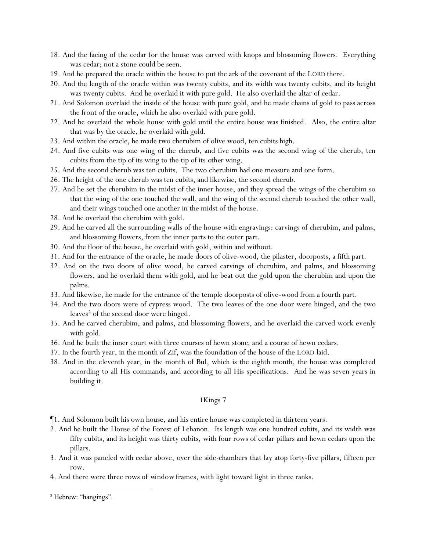- 18. And the facing of the cedar for the house was carved with knops and blossoming flowers. Everything was cedar; not a stone could be seen.
- 19. And he prepared the oracle within the house to put the ark of the covenant of the LORD there.
- 20. And the length of the oracle within was twenty cubits, and its width was twenty cubits, and its height was twenty cubits. And he overlaid it with pure gold. He also overlaid the altar of cedar.
- 21. And Solomon overlaid the inside of the house with pure gold, and he made chains of gold to pass across the front of the oracle, which he also overlaid with pure gold.
- 22. And he overlaid the whole house with gold until the entire house was finished. Also, the entire altar that was by the oracle, he overlaid with gold.
- 23. And within the oracle, he made two cherubim of olive wood, ten cubits high.
- 24. And five cubits was one wing of the cherub, and five cubits was the second wing of the cherub, ten cubits from the tip of its wing to the tip of its *other* wing.
- 25. And the second cherub was ten cubits. The two cherubim had one measure and one form.
- 26. The height of the one cherub was ten cubits, and likewise, the second cherub.
- 27. And he set the cherubim in the midst of the inner house, and they spread the wings of the cherubim so that the wing of the one touched the wall, and the wing of the second cherub touched the other wall, and their wings touched one another in the midst of the house.
- 28. And he overlaid the cherubim with gold.
- 29. And he carved all the surrounding walls of the house with engravings: carvings of cherubim, and palms, and blossoming flowers, from the inner *parts* to the outer *part*.
- 30. And the floor of the house, he overlaid with gold, within and without.
- 31. And for the entrance of the oracle, he made doors of olive-wood, the pilaster, doorposts, a fifth part.
- 32. And on the two doors of olive wood, he carved carvings of cherubim, and palms, and blossoming flowers, and he overlaid them with gold, and he beat out the gold upon the cherubim and upon the palms.
- 33. And likewise, he made for the entrance of the temple doorposts of olive-wood from a fourth part.
- 34. And the two doors were of cypress wood. The two leaves of the one door were hinged, and the two leaves<sup>3</sup> of the second door were hinged.
- 35. And he carved cherubim, and palms, and blossoming flowers, and he overlaid the carved work evenly with gold.
- 36. And he built the inner court with three courses of hewn *stone*, and a course of hewn cedars.
- 37. In the fourth year, in the month of Zif, was the foundation of the house of the LORD laid.
- 38. And in the eleventh year, in the month of Bul, which is the eighth month, the house was completed according to all His commands, and according to all His specifications. And he was seven years in building it.

- ¶1. And Solomon built his own house, and his entire house was completed in thirteen years.
- 2. And he built the House of the Forest of Lebanon. Its length was one hundred cubits, and its width was fifty cubits, and its height was thirty cubits, with four rows of cedar pillars and hewn cedars upon the pillars.
- 3. And it was paneled with cedar above, over the side-chambers that lay atop forty-five pillars, fifteen per row.
- 4. And there were three rows of *window*frames, with light toward light in three ranks.

<sup>3</sup> Hebrew: "hangings".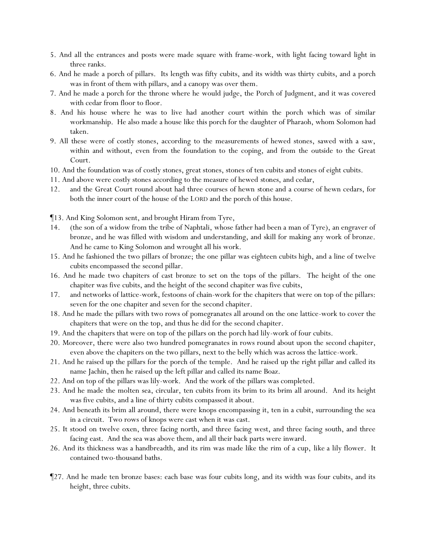- 5. And all the entrances and posts were made square with frame-work, with light facing toward light in three ranks.
- 6. And he made a porch of pillars. Its length was fifty cubits, and its width was thirty cubits, and a porch was in front of them with pillars, and a canopy was over them.
- 7. And he made a porch for the throne where he would judge, the Porch of Judgment, and it was covered with cedar from floor to floor.
- 8. And his house where he was to live had another court within the porch which was of similar workmanship. He also made a house like this porch for the daughter of Pharaoh, whom Solomon had taken.
- 9. All these were of costly stones, according to the measurements of hewed stones, sawed with a saw, within and without, even from the foundation to the coping, and from the outside to the Great Court.
- 10. And the foundation was of costly stones, great stones, stones of ten cubits and stones of eight cubits.
- 11. And above were costly stones according to the measure of hewed *stones*, and cedar,
- 12. and the Great Court round about had three courses of hewn *stone* and a course of hewn cedars, for both the inner court of the house of the LORD and the porch of this house.
- ¶13. And King Solomon sent, and brought Hiram from Tyre,
- 14. (the son of a widow from the tribe of Naphtali, whose father had been a man of Tyre), an engraver of bronze, and he was filled with wisdom and understanding, and skill for making any work of bronze. And he came to King Solomon and wrought all his work.
- 15. And he fashioned the two pillars of bronze; the one pillar was eighteen cubits high, and a line of twelve cubits encompassed the second pillar.
- 16. And he made two chapiters of cast bronze to set on the tops of the pillars. The height of the one chapiter was five cubits, and the height of the second chapiter was five cubits,
- 17. and networks of lattice-work, festoons of chain-work for the chapiters that were on top of the pillars: seven for the one chapiter and seven for the second chapiter.
- 18. And he made the pillars with two rows of pomegranates all around on the one lattice-work to cover the chapiters that were on the top, and thus he did for the second chapiter.
- 19. And the chapiters that were on top of the pillars on the porch had lily-work of four cubits.
- 20. Moreover, there were also two hundred pomegranates in rows round about upon the second chapiter, even above the chapiters on the two pillars, next to the belly which was across the lattice-work.
- 21. And he raised up the pillars for the porch of the temple. And he raised up the right pillar and called its name Jachin, then he raised up the left pillar and called its name Boaz.
- 22. And on top of the pillars was lily-work. And the work of the pillars was completed.
- 23. And he made the molten sea, circular, ten cubits from its brim to its brim all around. And its height was five cubits, and a line of thirty cubits compassed it about.
- 24. And beneath its brim all around, there were knops encompassing it, ten in a cubit, surrounding the sea in a circuit. Two rows of knops were cast when it was cast.
- 25. It stood on twelve oxen, three facing north, and three facing west, and three facing south, and three facing east. And the sea was above them, and all their back parts were inward.
- 26. And its thickness was a handbreadth, and its rim was made like the rim of a cup, *like* a lily flower. It contained two-thousand baths.
- ¶27. And he made ten bronze bases: each base was four cubits long, and its width was four cubits, and its height, three cubits.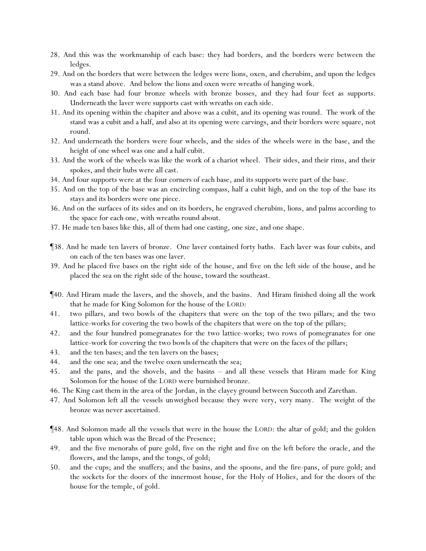- 28. And this was the workmanship of each base: they had borders, and the borders were between the ledges.
- 29. And on the borders that were between the ledges were lions, oxen, and cherubim, and upon the ledges was a stand above. And below the lions and oxen were wreaths of hanging work.
- 30. And each base had four bronze wheels with bronze bosses, and they had four feet as supports. Underneath the laver were supports cast with wreaths on each side.
- 31. And its opening within the chapiter and above was a cubit, and its opening was round. The work of the stand was a cubit and a half, and also at its opening were carvings, and their borders were square, not round.
- 32. And underneath the borders were four wheels, and the sides of the wheels were in the base, and the height of one wheel was one and a half cubit.
- 33. And the work of the wheels was like the work of a chariot wheel. Their sides, and their rims, and their spokes, and their hubs were all cast.
- 34. And four supports were at the four corners of each base, and its supports were part of the base.
- 35. And on the top of the base was an encircling compass, half a cubit high, and on the top of the base its stays and its borders were one piece.
- 36. And on the surfaces of its sides and on its borders, he engraved cherubim, lions, and palms according to the space for each one, with wreaths round about.
- 37. He made ten bases like this, all of them had one casting, one size, *and* one shape.
- ¶38. And he made ten lavers of bronze. One laver contained forty baths. Each laver was four cubits, and on each of the ten bases was one laver.
- 39. And he placed five bases on the right side of the house, and five on the left side of the house, and he placed the sea on the right side of the house, toward the southeast.
- ¶40. And Hiram made the lavers, and the shovels, and the basins. And Hiram finished doing all the work that he made for King Solomon for the house of the LORD:
- 41. two pillars, and two bowls of the chapiters that were on the top of the two pillars; and the two lattice-works for covering the two bowls of the chapiters that were on the top of the pillars;
- 42. and the four hundred pomegranates for the two lattice-works; two rows of pomegranates for one lattice-work for covering the two bowls of the chapiters that were on the faces of the pillars;
- 43. and the ten bases; and the ten lavers on the bases;
- 44. and the one sea; and the twelve oxen underneath the sea;
- 45. and the pans, and the shovels, and the basins and all these vessels that Hiram made for King Solomon for the house of the LORD were burnished bronze.
- 46. The King cast them in the area of the Jordan, in the clayey ground between Succoth and Zarethan.
- 47. And Solomon left all the vessels *unweighed* because they were very, very many. The weight of the bronze was never ascertained.
- ¶48. And Solomon made all the vessels that were in the house the LORD: the altar of gold; and the golden table upon which was the Bread of the Presence;
- 49. and the five menorahs of pure gold, five on the right and five on the left before the oracle, and the flowers, and the lamps, and the tongs, of gold;
- 50. and the cups; and the snuffers; and the basins, and the spoons, and the fire-pans, of pure gold; and the sockets for the doors of the innermost house, for the Holy of Holies, and for the doors of the house for the temple, of gold.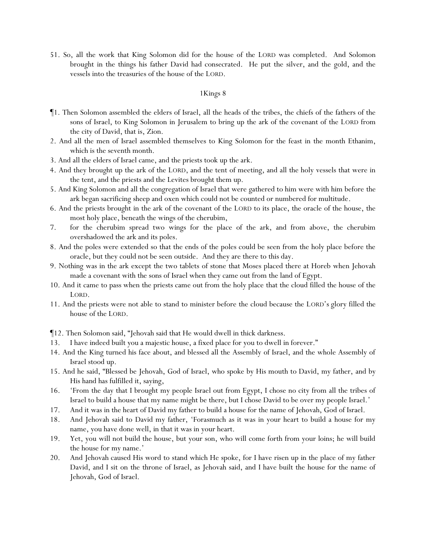51. So, all the work that King Solomon did for the house of the LORD was completed. And Solomon brought in the things his father David had consecrated. He put the silver, and the gold, and the vessels into the treasuries of the house of the LORD.

- ¶1. Then Solomon assembled the elders of Israel, all the heads of the tribes, the chiefs of the fathers of the sons of Israel, to King Solomon in Jerusalem to bring up the ark of the covenant of the LORD from the city of David, that is, Zion.
- 2. And all the men of Israel assembled themselves to King Solomon for the feast in the month Ethanim, which is the seventh month.
- 3. And all the elders of Israel came, and the priests took up the ark.
- 4. And they brought up the ark of the LORD, and the tent of meeting, and all the holy vessels that were in the tent, and the priests and the Levites brought them up.
- 5. And King Solomon and all the congregation of Israel that were gathered to him were with him before the ark began sacrificing sheep and oxen which could not be counted or numbered for multitude.
- 6. And the priests brought in the ark of the covenant of the LORD to its place, the oracle of the house, the most holy place, beneath the wings of the cherubim,
- 7. for the cherubim spread two wings for the place of the ark, and from above, the cherubim overshadowed the ark and its poles.
- 8. And the poles were extended so that the ends of the poles could be seen from the holy place before the oracle, but they could not be seen outside. And they are there to this day.
- 9. Nothing was in the ark except the two tablets of stone that Moses placed there at Horeb when Jehovah made a covenant with the sons of Israel when they came out from the land of Egypt.
- 10. And it came to pass when the priests came out from the holy place that the cloud filled the house of the LORD.
- 11. And the priests were not able to stand to minister before the cloud because the LORD's glory filled the house of the LORD.
- ¶12. Then Solomon said, "Jehovah said that He would dwell in thick darkness.
- 13. I have indeed built you a majestic house, a fixed place for you to dwell in forever."
- 14. And the King turned his face about, and blessed all the Assembly of Israel, and the whole Assembly of Israel stood up.
- 15. And he said, "Blessed be Jehovah, God of Israel, who spoke by His mouth to David, my father, and by His hand has fulfilled it, saying,
- 16. 'From the day that I brought my people Israel out from Egypt, I chose no city from all the tribes of Israel to build a house that my name might be there, but I chose David to be over my people Israel.'
- 17. And it was in the heart of David my father to build a house for the name of Jehovah, God of Israel.
- 18. And Jehovah said to David my father, 'Forasmuch as it was in your heart to build a house for my name, you have done well, in that it was in your heart.
- 19. Yet, you will not build the house, but your son, who will come forth from your loins; he will build the house for my name.'
- 20. And Jehovah caused His word to stand which He spoke, for I have risen up in the place of my father David, and I sit on the throne of Israel, as Jehovah said, and I have built the house for the name of Jehovah, God of Israel.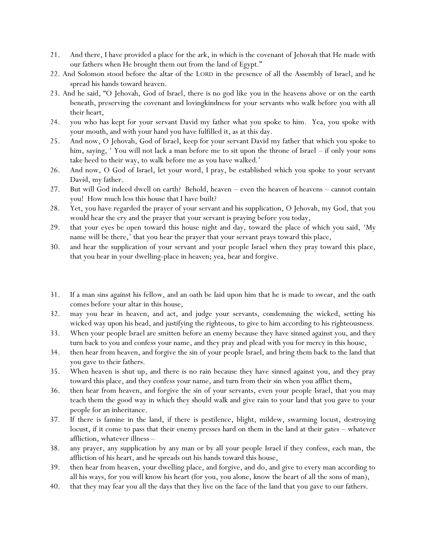- 21. And there, I have provided a place for the ark, in which is the covenant of Jehovah that He made with our fathers when He brought them out from the land of Egypt."
- 22. And Solomon stood before the altar of the LORD in the presence of all the Assembly of Israel, and he spread his hands toward heaven.
- 23. And he said, "O Jehovah, God of Israel, there is no god like you in the heavens above or on the earth beneath, preserving the covenant and lovingkindness for your servants who walk before you with all their heart,
- 24. you who has kept for your servant David my father what you spoke to him. Yea, you spoke with your mouth, and with your hand you have fulfilled it, as at this day.
- 25. And now, O Jehovah, God of Israel, keep for your servant David my father that which you spoke to him, saying, 'You will not lack a man before me to sit upon the throne of Israel – if only your sons take heed to their way, to walk before me as you have walked.'
- 26. And now, O God of Israel, let your word, I pray, be established which you spoke to your servant David, my father.
- 27. But will God indeed dwell on earth? Behold, heaven even the heaven of heavens cannot contain you! How much less this house that I have built?
- 28. Yet, you have regarded the prayer of your servant and his supplication, O Jehovah, my God, that you would hear the cry and the prayer that your servant is praying before you today,
- 29. that your eyes be open toward this house night and day, toward the place of which you said, 'My name will be there,' that you hear the prayer that your servant prays toward this place,
- 30. and hear the supplication of your servant and your people Israel when they pray toward this place, that you hear in your dwelling-place in heaven; yea, hear and forgive.
- 31. *If* a man sins against his fellow, and an oath be laid upon him that he is made to swear, and the oath comes before your altar in this house,
- 32. may you hear in heaven, and act, and judge your servants, condemning the wicked, setting his wicked way upon his head, and justifying the righteous, to give to him according to his righteousness.
- 33. When your people Israel are smitten before an enemy because they have sinned against you, and they turn back to you and confess your name, and they pray and plead with you for mercy in this house,
- 34. then hear from heaven, and forgive the sin of your people Israel, and bring them back to the land that you gave to their fathers.
- 35. When heaven is shut up, and there is no rain because they have sinned against you, and they pray toward this place, and they confess your name, and turn from their sin when you afflict them,
- 36. then hear from heaven, and forgive the sin of your servants, even your people Israel, that you may teach them the good way in which they should walk and give rain to your land that you gave to your people for an inheritance.
- 37. If there is famine in the land, if there is pestilence, blight, mildew, swarming locust, destroying locust, if it come to pass that their enemy presses hard on them in the land at their gates – whatever affliction, whatever illness –
- 38. any prayer, any supplication by any man or by all your people Israel if they confess, each man, the affliction of his heart, and he spreads out his hands toward this house,
- 39. then hear from heaven, your dwelling place, and forgive, and do, and give to every man according to all his ways, for you will know his heart (for you, you alone, know the heart of all the sons of man),
- 40. that they may fear you all the days that they live on the face of the land that you gave to our fathers.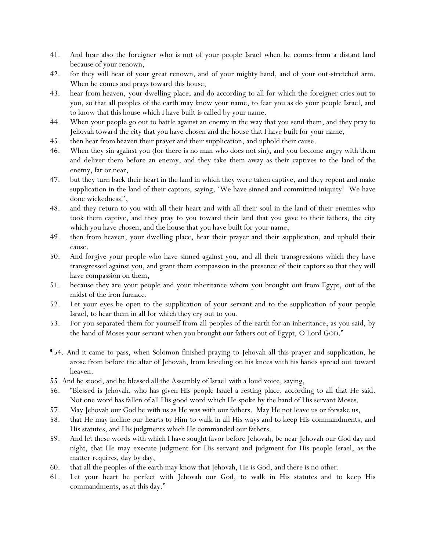- 41. And *hear* also the foreigner who is not of your people Israel when he comes from a distant land because of your renown,
- 42. for they will hear of your great renown, and of your mighty hand, and of your out-stretched arm. When he comes and prays toward this house,
- 43. hear *from* heaven, your dwelling place, and do according to all for which the foreigner cries out to you, so that all peoples of the earth may know your name, to fear you as do your people Israel, and to know that this house which I have built is called by your name.
- 44. When your people go out to battle against an enemy in the way that you send them, and they pray to Jehovah toward the city that you have chosen and the house that I have built for your name,
- 45. then hear *from* heaven their prayer and their supplication, and uphold their cause.
- 46. When they sin against you (for there is no man who does not sin), and you become angry with them and deliver them before an enemy, and they take them away as their captives to the land of the enemy, far or near,
- 47. but they turn back their heart in the land in which they were taken captive, and they repent and make supplication in the land of their captors, saying, 'We have sinned and committed iniquity! We have done wickedness!',
- 48. and they return to you with all their heart and with all their soul in the land of their enemies who took them captive, and they pray to you toward their land that you gave to their fathers, the city which you have chosen, and the house that you have built for your name,
- 49. then from heaven, your dwelling place, hear their prayer and their supplication, and uphold their cause.
- 50. And forgive your people who have sinned against you, and all their transgressions which they have transgressed against you, and grant them compassion in the presence of their captors so that they will have compassion on them,
- 51. because they are your people and your inheritance whom you brought out from Egypt, out of the midst of the iron furnace.
- 52. Let your eyes be open to the supplication of your servant and to the supplication of your people Israel, to hear them in all *for which* they cry out to you.
- 53. For you separated them for yourself from all peoples of the earth for an inheritance, as you said, by the hand of Moses your servant when you brought our fathers out of Egypt, O Lord GOD."
- ¶54. And it came to pass, when Solomon finished praying to Jehovah all this prayer and supplication, he arose from before the altar of Jehovah, from kneeling on his knees with his hands spread out toward heaven.
- 55. And he stood, and he blessed all the Assembly of Israel *with* a loud voice, saying,
- 56. "Blessed is Jehovah, who has given His people Israel a resting place, according to all that He said. Not one word has fallen of all His good word which He spoke by the hand of His servant Moses.
- 57. May Jehovah our God be with us as He was with our fathers. May He not leave us or forsake us,
- 58. that He may incline our hearts to Him to walk in all His ways and to keep His commandments, and His statutes, and His judgments which He commanded our fathers.
- 59. And let these words with which I have sought favor before Jehovah, be near Jehovah our God day and night, that He may execute judgment for His servant and judgment for His people Israel, *as the*  matter *requires*, day by day,
- 60. that all the peoples of the earth may know that Jehovah, He is God, *and* there is no other.
- 61. Let *y*our heart be perfect with Jehovah our God, to walk in His statutes and to keep His commandments, as at this day."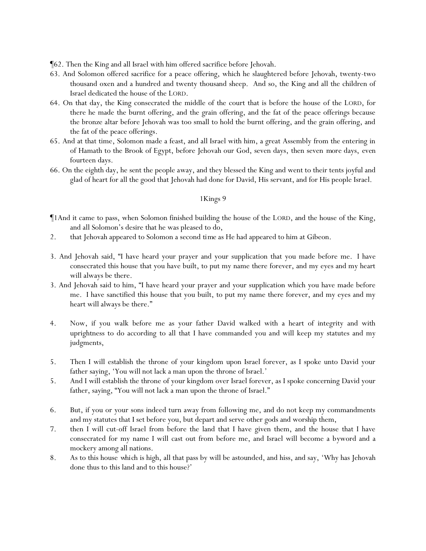¶62. Then the King and all Israel with him offered sacrifice before Jehovah.

- 63. And Solomon offered sacrifice for a peace offering, which he slaughtered before Jehovah, twenty-two thousand oxen and a hundred and twenty thousand sheep. And so, the King and all the children of Israel dedicated the house of the LORD.
- 64. On that day, the King consecrated the middle of the court that is before the house of the LORD, for there he made the burnt offering, and the grain offering, and the fat of the peace offerings because the bronze altar before Jehovah was too small to hold the burnt offering, and the grain offering, and the fat of the peace offerings.
- 65. And at that time, Solomon made a feast, and all Israel with him, a great Assembly from the entering in of Hamath to the Brook of Egypt, before Jehovah our God, seven days, then seven *more* days, *even* fourteen days.
- 66. On the eighth day, he sent the people away, and they blessed the King and went to their tents joyful and glad of heart for all the good that Jehovah had done for David, His servant, and for His people Israel.

- ¶1And it came to pass, when Solomon finished building the house of the LORD, and the house of the King, and all Solomon's desire that he was pleased to do,
- 2. that Jehovah appeared to Solomon a second *time* as He had appeared to him at Gibeon.
- 3. And Jehovah said, "I have heard your prayer and your supplication that you made before me. I have consecrated this house that you have built, to put my name there forever, and my eyes and my heart will always be there.
- 3. And Jehovah said to him, "I have heard your prayer and your supplication which you have made before me. I have sanctified this house that you built, to put my name there forever, and my eyes and my heart will always be there."
- 4. Now, if you walk before me as your father David walked with a heart of integrity and with uprightness to do according to all that I have commanded you *and* will keep my statutes and my judgments,
- 5. Then I will establish the throne of your kingdom upon Israel forever, as I spoke unto David your father saying, 'You will not lack a man upon the throne of Israel.'
- 5. And I will establish the throne of your kingdom over Israel forever, as I spoke concerning David your father, saying, "You will not lack a man upon the throne of Israel."
- 6. But, if you or your sons indeed turn away from following me, and do not keep my commandments *and* my statutes that I set before you, but depart and serve other gods and worship them,
- 7. then I will cut-off Israel from before the land that I have given them, and the house that I have consecrated for my name I will cast out from before me, and Israel will become a byword and a mockery among all nations.
- 8. As to this house *which* is high, all that pass by will be astounded, and hiss, and say, 'Why has Jehovah done thus to this land and to this house?'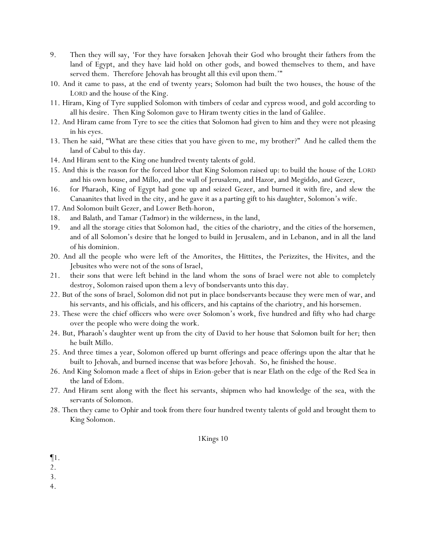- 9. Then they will say, 'For they have forsaken Jehovah their God who brought their fathers from the land of Egypt, and they have laid hold on other gods, and bowed themselves to them, and have served them. Therefore Jehovah has brought all this evil upon them.'"
- 10. And it came to pass, at the end of twenty years; Solomon had built the two houses, the house of the LORD and the house of the King.
- 11. Hiram, King of Tyre supplied Solomon with timbers of cedar and cypress wood, and gold according to all his desire. Then King Solomon gave to Hiram twenty cities in the land of Galilee.
- 12. And Hiram came from Tyre to see the cities that Solomon had given to him and they were not pleasing in his eyes.
- 13. Then he said, "What are these cities that you have given to me, my brother?" And he called them *the* land of Cabul to this day.
- 14. And Hiram sent to the King one hundred twenty talents of gold.
- 15. And this is the *reason* for the forced labor that King Solomon raised up: to build the house of the LORD and his own house, and Millo, and the wall of Jerusalem, and Hazor, and Megiddo, and Gezer,
- 16. *for* Pharaoh, King of Egypt had gone up and seized Gezer, and burned it with fire, and slew the Canaanites that lived in the city, and he gave it as a parting gift to his daughter, Solomon's wife.
- 17. And Solomon built Gezer, and Lower Beth-horon,
- 18. and Balath, and Tamar (Tadmor) in the wilderness, in the land,
- 19. and all the storage cities that Solomon had, the cities of the chariotry, and the cities of the horsemen, and of *all* Solomon's desire that he longed to build in Jerusalem, and in Lebanon, and in all the land of his dominion.
- 20. And all the people who were left of the Amorites, the Hittites, the Perizzites, the Hivites, and the Jebusites who were not of the sons of Israel,
- 21. their sons that were left behind in the land whom the sons of Israel were not able to completely destroy, Solomon raised upon them a levy of bondservants unto this day.
- 22. But of the sons of Israel, Solomon did not put in place bondservants because they were men of war, and his servants, and his officials, and his officers, and his captains of the chariotry, and his horsemen.
- 23. These were the chief officers who were over Solomon's work, five hundred and fifty who had charge over the people who were doing the work.
- 24. But, Pharaoh's daughter went up from the city of David to her house that *Solomon* built for her; then he built Millo.
- 25. And three times a year, Solomon offered up burnt offerings and peace offerings upon the altar that he built to Jehovah, and burned incense that was before Jehovah. So, he finished the house.
- 26. And King Solomon made a fleet of ships in Ezion-geber that is near Elath on the edge of the Red Sea in the land of Edom.
- 27. And Hiram sent along with the fleet his servants, shipmen who had knowledge of the sea, with the servants of Solomon.
- 28. Then they came to Ophir and took from there four hundred twenty talents of gold and *brought* them to King Solomon.

- ¶1.
- 2.

3.

4.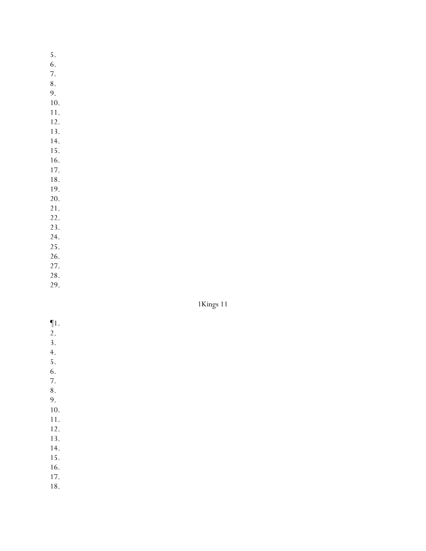- 5.
- 6.
- 7. 8.
- 9.
- 10.
- 11.
- 12.
- 13.
- 14.
- 15. 16.
- 17.
- 18.
- 19.
- 20.
- 21.
- 22.
- 23. 24.
- 25.
- 26.
- 27.
- 28.
- 29.

- ¶1.
- $\overline{2}$ .
- 3.
- 4.
- 5. 6.
- 7.
- 8.
- 9.
- 10.
- 11.
- 12.
- 13.
- 14. 15.
- 16.
- 17.
- 18.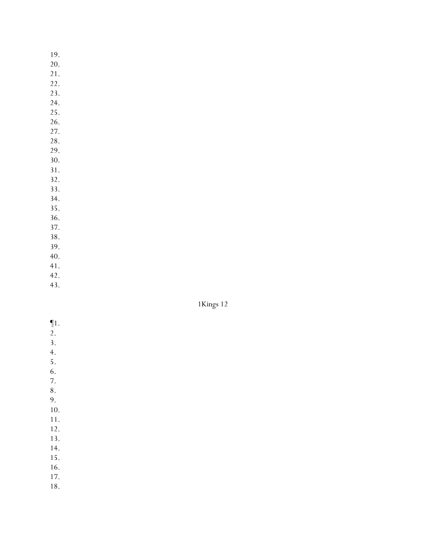- 19.
- 20.
- 21.
- 22. 23.
- 24.
- 25.
- 26.
- 27.
- 28.
- 29.
- 30. 31.
- 32.
- 33.
- 34.
- 35.
- 36.
- 37.
- 38. 39.
- 40.
- 41.
- 42.
- 43.

- ¶1.
- 2.
- 3.
- 4.
- 5.
- 6.
- 7.
- 8.
- 9.
- 10. 11.
- 12.
- 13.
- 14.
- 15.
- 16.
- 17.
- 18.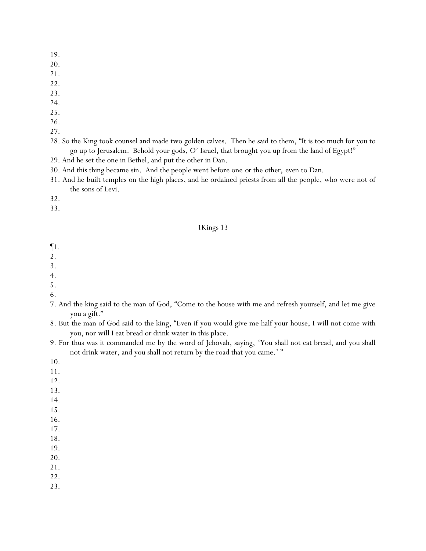- 19.
- 20.
- 21.
- 22.
- 23.
- 24.
- 25.
- 26.
- 27.
- 28. So the King took counsel and made two golden calves. Then he said to them, "It is too much for *y*ou to go up to Jerusalem. Behold your gods, O' Israel, that brought you up from the land of Egypt!"
- 29. And he set the one in Bethel, and put the other in Dan.
- 30. And this thing became sin. And the people went before one *or the other*, *even* to Dan.
- 31. And he built temples on the high places, and he ordained priests from all the people, who were not of the sons of Levi.
- 32.
- 33.

- ¶1.
- 2.
- 3.
- 4.
- 5.
- 6.
- 7. And the king said to the man of God, "Come to the house with me and refresh yourself, and let me give you a gift."
- 8. But the man of God said to the king, "Even if you would give me half your house, I will not come with you, nor will I eat bread or drink water in this place.
- 9. For thus was it commanded me by the word of Jehovah, saying, 'You shall not eat bread, and you shall not drink water, and you shall not return by the road that you came.' "
- 10.
- 11.
- 12.
- 13.
- 14.
- 15.
- 16.
- 17.
- 18.
- 19.
- 20.
- 21.
- 22.
- 23.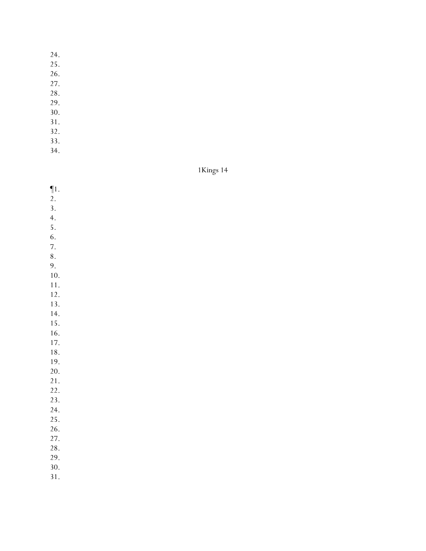- 24.
- 25.
- 26.
- 27.
- 28.
- 29.
- 30.
- 31.
- 32. 33.
- 34.

1Kings 14

- ¶1.
- $\overline{2}$ .
- 3.
- 4.
- 5. 6.
- 7.
- 8.
- 9.
- 10. 11.
- 12.
- 13.
- 14.
- 15.
- 16.
- 17.
- 18. 19.
- 20.
- 21.
- 22.
- 23.
- 24.
- 25.
- 26.
- 27. 28.
- 29.
- 30.
- 31.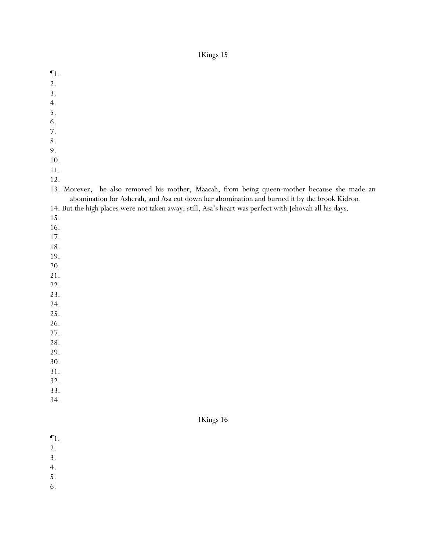¶1. 2. 3. 4. 5. 6. 7. 8. 9. 10. 11. 12. 13. Morever, he also removed his mother, Maacah, from being queen-mother because she made an abomination for Asherah, and Asa cut down her abomination and burned it by the brook Kidron. 14. But the high places were not taken away; still, Asa's heart was perfect with Jehovah all his days. 15. 16. 17. 18. 19. 20. 21. 22. 23. 24. 25. 26. 27. 28. 29.

- 30.
- 31.
- 32.
- 33.
- 34.

- ¶1.
- 2.
- 3.
- 4.
- 5.
- 
- 6.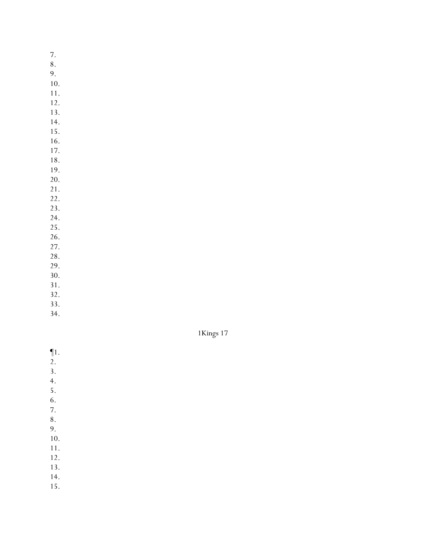- 7.
- 8.
- 9.
- 10. 11.
- 12.
- 13.
- 14.
- 15.
- 16. 17.
- 18.
- 19.
- 20.
- 21.
- 22.
- 23.
- 24. 25.
- 26.
- 27.
- 28.
- 29.
- 30. 31.
- 32.
- 33.
- 34.



- ¶1.
- $\overline{2}$ .
- 3.
- 4.
- 5.
- 6.
- 7.
- 8.
- 9.
- 10. 11.
- 12.
- 13.
- 14.
- 15.
-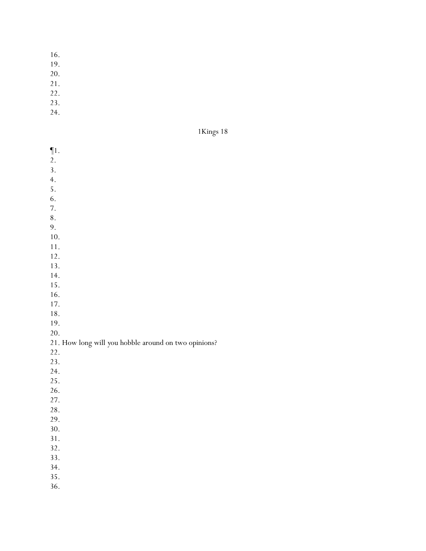- 16.
- 19.
- 20.
- 21.
- 22.
- 23.
- 24.

| 1 Kings | L | 8 |
|---------|---|---|
|---------|---|---|

| $\P1.$                                               |
|------------------------------------------------------|
| 2.                                                   |
| 3.                                                   |
| 4.                                                   |
| 5.                                                   |
| 6.                                                   |
| 7.                                                   |
| 8.                                                   |
| 9.                                                   |
| 10.                                                  |
| 11.                                                  |
| 12.                                                  |
| 13.                                                  |
| 14.                                                  |
| 15.                                                  |
| 16.                                                  |
| 17.                                                  |
| 18.                                                  |
| 19.                                                  |
| 20.                                                  |
| 21. How long will you hobble around on two opinions? |
| 22.                                                  |
| 23.                                                  |
| 24.                                                  |
| 25.                                                  |
| 26.                                                  |
| 27.                                                  |
| 28.                                                  |
| 29.                                                  |
| 30.                                                  |
| 31.                                                  |
| 32.                                                  |
| 33.                                                  |
|                                                      |
| 34.<br>35.                                           |
|                                                      |
| 36.                                                  |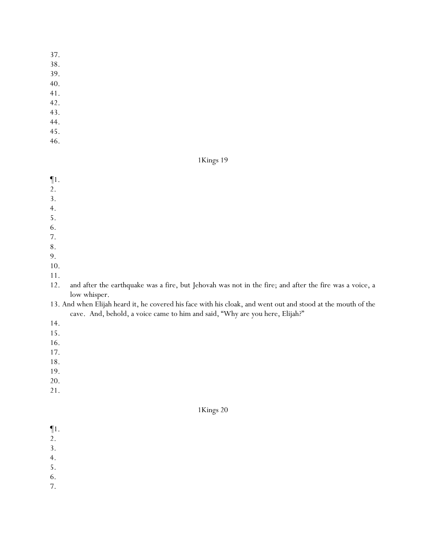- 37.
- 38.
- 39.
- 40.
- 41.
- 42.
- 43.
- 44.
- 45.
- 46.

1Kings 19

- ¶1.
- 2.
- 3.
- 4.
- 5.
- 6.
- 7.
- 8.
- 9.
- 10.
- 11.
- 12. and after the earthquake was a fire, but Jehovah was not in the fire; and after the fire was a voice, a low whisper.
- 13. And when Elijah heard it, he covered his face with his cloak, and went out and stood at the mouth of the cave. And, behold, a voice came to him and said, "Why are you here, Elijah?"
- 14.
- 15.
- 16.
- 17.
- 18.
- 19.
- 20.
- 21.

- ¶1.
- 2.
- 3.
- 4.
- 5.
- 6.
- 7.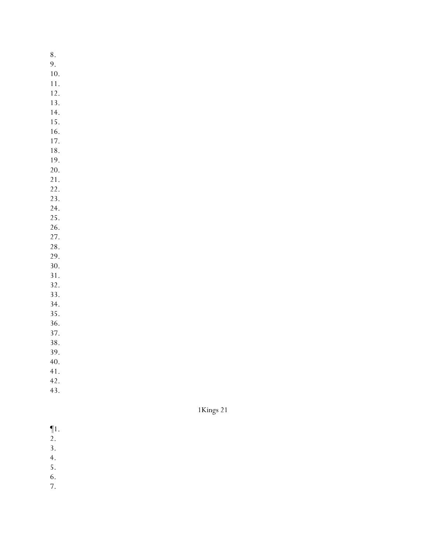- 8. 9. 10. 11. 12. 13. 14. 15. 16. 17. 18. 19. 20. 21. 22. 23. 24. 25. 26. 27. 28. 29. 30. 31. 32. 33. 34. 35. 36. 37. 38. 39. 40.
- 41.
- 42.
- 43.

- $\P1$ .
- $\overline{2}$ .
- 3.
- 4.
- 5.
- 6.
- 7.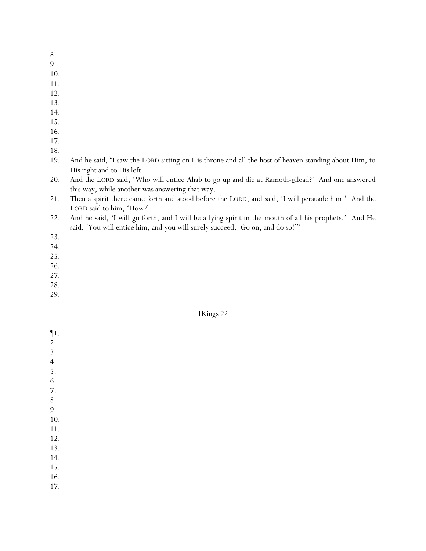- 8.
- 9.
- 10.
- 11.
- 12.
- 13.
- 14.
- 15.
- 16.
- 17.
- 18.
- 19. And he said, "I saw the LORD sitting on His throne and all the host of heaven standing about Him, to His right and to His left.
- 20. And the LORD said, 'Who will entice Ahab to go up and die at Ramoth-gilead?' And one answered this way, while another was answering that way.
- 21. Then a spirit there came forth and stood before the LORD, and said, 'I will persuade him.' And the LORD said to him, 'How?'
- 22. And he said, 'I will go forth, and I will be a lying spirit in the mouth of all his prophets.' And He said, 'You will entice him, and you will surely succeed. Go on, and do so!'"
- 23.
- 24.
- 25.
- 26.
- 27. 28.
- 29.

¶1. 2. 3. 4. 5. 6. 7. 8. 9. 10. 11. 12. 13. 14. 15. 16. 17.